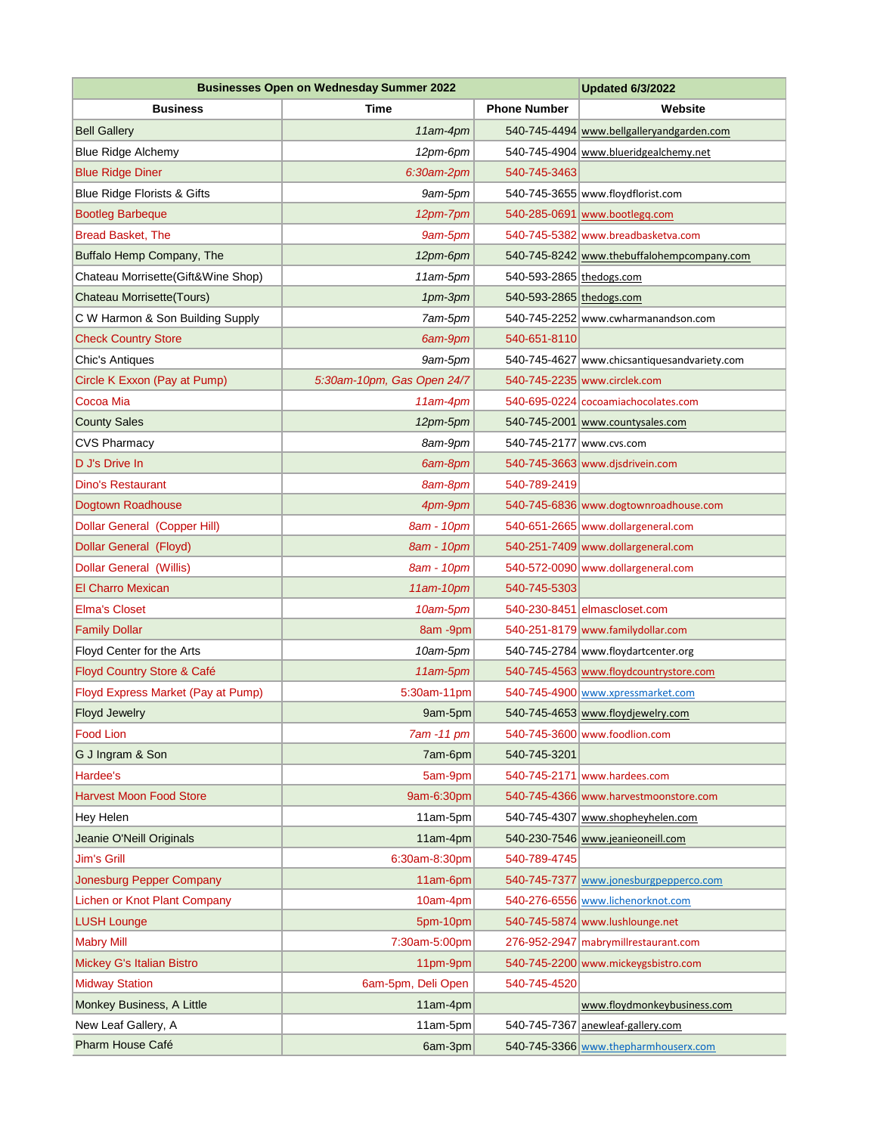| <b>Businesses Open on Wednesday Summer 2022</b> |                            |                          | <b>Updated 6/3/2022</b>                                            |
|-------------------------------------------------|----------------------------|--------------------------|--------------------------------------------------------------------|
| <b>Business</b>                                 | Time                       | <b>Phone Number</b>      | Website                                                            |
| <b>Bell Gallery</b>                             | 11am-4pm                   |                          | 540-745-4494 www.bellgalleryandgarden.com                          |
| <b>Blue Ridge Alchemy</b>                       | 12pm-6pm                   |                          | 540-745-4904 www.blueridgealchemy.net                              |
| <b>Blue Ridge Diner</b>                         | 6:30am-2pm                 | 540-745-3463             |                                                                    |
| Blue Ridge Florists & Gifts                     | 9am-5pm                    |                          | 540-745-3655 www.floydflorist.com                                  |
| <b>Bootleg Barbeque</b>                         | 12pm-7pm                   |                          | 540-285-0691 www.bootlegg.com                                      |
| <b>Bread Basket, The</b>                        | 9am-5pm                    |                          | 540-745-5382 www.breadbasketva.com                                 |
| Buffalo Hemp Company, The                       | 12pm-6pm                   |                          | 540-745-8242 www.thebuffalohempcompany.com                         |
| Chateau Morrisette(Gift&Wine Shop)              | 11am-5pm                   | 540-593-2865 thedogs.com |                                                                    |
| Chateau Morrisette (Tours)                      | 1pm-3pm                    | 540-593-2865 thedogs.com |                                                                    |
| C W Harmon & Son Building Supply                | 7am-5pm                    |                          | 540-745-2252 www.cwharmanandson.com                                |
| <b>Check Country Store</b>                      | 6am-9pm                    | 540-651-8110             |                                                                    |
| Chic's Antiques                                 | 9am-5pm                    |                          | 540-745-4627 www.chicsantiquesandvariety.com                       |
| Circle K Exxon (Pay at Pump)                    | 5:30am-10pm, Gas Open 24/7 |                          | 540-745-2235 www.circlek.com                                       |
| Cocoa Mia                                       | 11am-4pm                   |                          | 540-695-0224 cocoamiachocolates.com                                |
| <b>County Sales</b>                             | 12pm-5pm                   |                          | 540-745-2001 www.countysales.com                                   |
| <b>CVS Pharmacy</b>                             | 8am-9pm                    | 540-745-2177 www.cvs.com |                                                                    |
| D J's Drive In                                  | 6am-8pm                    |                          | 540-745-3663 www.disdrivein.com                                    |
| Dino's Restaurant                               | 8am-8pm                    | 540-789-2419             |                                                                    |
| Dogtown Roadhouse                               | 4pm-9pm                    |                          | 540-745-6836 www.dogtownroadhouse.com                              |
| <b>Dollar General (Copper Hill)</b>             | 8am - 10pm                 |                          | 540-651-2665 www.dollargeneral.com                                 |
| Dollar General (Floyd)                          | 8am - 10pm                 |                          | 540-251-7409 www.dollargeneral.com                                 |
| <b>Dollar General (Willis)</b>                  | 8am - 10pm                 |                          | 540-572-0090 www.dollargeneral.com                                 |
| <b>El Charro Mexican</b>                        | 11am-10pm                  | 540-745-5303             |                                                                    |
| <b>Elma's Closet</b>                            | 10am-5pm                   |                          | 540-230-8451 elmascloset.com                                       |
| <b>Family Dollar</b>                            | 8am -9pm                   |                          | 540-251-8179 www.familydollar.com                                  |
| Floyd Center for the Arts                       | 10am-5pm                   |                          | 540-745-2784 www.floydartcenter.org                                |
| Floyd Country Store & Café                      | 11am-5pm                   |                          | 540-745-4563 www.floydcountrystore.com                             |
| Floyd Express Market (Pay at Pump)              | 5:30am-11pm                |                          | 540-745-4900 www.xpressmarket.com                                  |
| Floyd Jewelry<br><b>Food Lion</b>               | 9am-5pm<br>7am -11 pm      |                          | 540-745-4653 www.floydjewelry.com<br>540-745-3600 www.foodlion.com |
| G J Ingram & Son                                | 7am-6pm                    | 540-745-3201             |                                                                    |
| Hardee's                                        | 5am-9pm                    |                          | 540-745-2171 www.hardees.com                                       |
| <b>Harvest Moon Food Store</b>                  | 9am-6:30pm                 |                          | 540-745-4366 www.harvestmoonstore.com                              |
| Hey Helen                                       | 11am-5pm                   |                          | 540-745-4307 www.shopheyhelen.com                                  |
| Jeanie O'Neill Originals                        | 11am-4pm                   |                          | 540-230-7546 www.jeanieoneill.com                                  |
| <b>Jim's Grill</b>                              | 6:30am-8:30pm              | 540-789-4745             |                                                                    |
| Jonesburg Pepper Company                        | 11am-6pm                   |                          | 540-745-7377 www.jonesburgpepperco.com                             |
| Lichen or Knot Plant Company                    | $10am-4pm$                 |                          | 540-276-6556 www.lichenorknot.com                                  |
| <b>LUSH Lounge</b>                              | 5pm-10pm                   |                          | 540-745-5874 www.lushlounge.net                                    |
| <b>Mabry Mill</b>                               | 7:30am-5:00pm              |                          | 276-952-2947 mabrymillrestaurant.com                               |
| Mickey G's Italian Bistro                       | 11pm-9pm                   |                          | 540-745-2200 www.mickeygsbistro.com                                |
| <b>Midway Station</b>                           | 6am-5pm, Deli Open         | 540-745-4520             |                                                                    |
| Monkey Business, A Little                       | 11am-4pm                   |                          | www.floydmonkeybusiness.com                                        |
| New Leaf Gallery, A                             | $11am-5pm$                 |                          | 540-745-7367 anewleaf-gallery.com                                  |
| Pharm House Café                                | 6am-3pm                    |                          | 540-745-3366 www.thepharmhouserx.com                               |